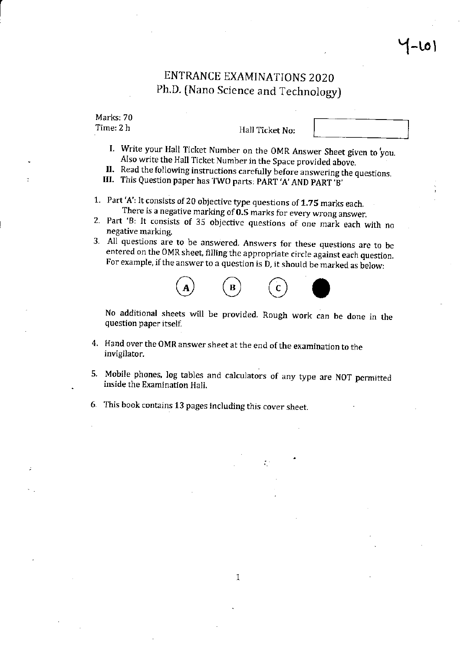### ENTRANCE EXAMINATIONS 2020 Ph.D. (Nano Science and Technology)

Marks: 70 Time: 2 h

Hall Ticket No:

- 
- I. Write your Hall Ticket Number on the OMR Answer Sheet given to you.<br>Also write the Hall Ticket Number in the Space provided above.<br>II. Read the following instructions carefully before answering the questions.<br>III. This
- 
- 
- 1. Part 'A': lt consists of 20 objective type questions of 1.7S marks each.
- There is a negative marking of **0.5** marks for every wrong answer.<br>2. Part 'B: It consists of 35 objective questions of one mark each with no negative marking.
- 3. All questions are to be answered. Answers for these questions are to be entered on the OMR sheet, filling the appropriate circle against each question. For example, if the answer to a question is D, it should be marked as below:



No additional sheets will be proyided. Rough work can be done in the question paper itself.

- 4. Hand over the OMR answer sheet at the end ofthe examination to the invigilator.
- 5. Mobile phones, log tables and calculators of any type are NOT permitted inside the Examination Hall.
- This book contains 13 pages including this cover sheet.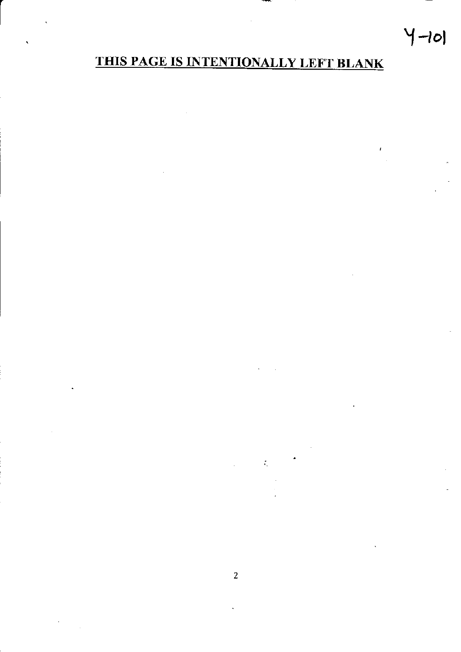# $4-10$

## THIS PAGE IS INTENTIONALLY LEFT BLANK

I

 $\frac{1}{2} \int_{\Omega_{\rm min}} \frac{d\omega}{\omega}$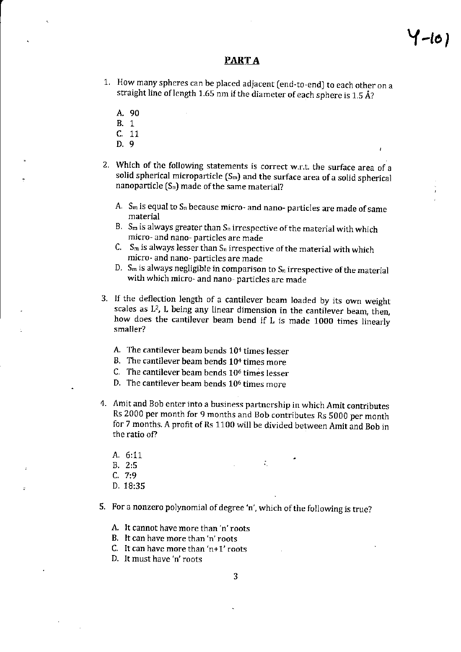#### PART A

- 1. How many spheres can be placed adjacent (end-to-end) to each other on a straight line of length 1.65 nm if the diameter of each sphere is 1.5 Å?
	- A.90
	- B. <sup>1</sup>
	- $\begin{array}{cc} C. & 11 \\ D. & 9 \end{array}$
	-
- 2. Which of the following statements is correct w.r.t. the surface area of a solid spherical microparticle  $(S_m)$  and the surface area of a solid spherical nanoparticle  $(S_n)$  made of the same material?
	- A.  $S_m$  is equal to  $S_n$  because micro- and nano- particles are made of same material
	- B.  $S_m$  is always greater than  $S_n$  irrespective of the material with which mjcro- and nano- particles are made
	- C. S<sub>m</sub> is always lesser than  $S_n$  irrespective of the material with which micro- and nano- particles are made
	- D.  $S_m$  is always negligible in comparison to  $S_n$  irrespective of the material with which micro- and nano- particles are made
- 3. If the deflection length of a cantilever beam loaded by its own weight scales as  $L^2$ , L being any linear dimension in the cantilever beam, then, how does the cantilever beam bend if L is made 1000 times linearlv smaller?
	- A. The cantilever beam bends  $10<sup>4</sup>$  times lesser
	- B. The cantilever beam bends  $10<sup>4</sup>$  times more
	- C. The cantilever beam bends  $10^6$  times lesser
	- D. The cantilever beam bends 106 times more
- 4. Amit and Bob enter into a business partnership in which Amit contributes Rs 2000 per month for 9 months and Bob contributes Rs 5000 per month for 7 months. A profit of Rs 1100 will be divided between Amit and Bob in the ratio of?
	- A. 6:11
	- B. 2:5
	- $C. 7:9$
	- D. 18:35
- 5. For a nonzero polynomial of degree 'n', which of the following is true?
	- A. It cannot have more than'n'roots
	- B. It can have more than 'n' roots
	- C. It can have more than ' $n+1$ ' roots
	- D. It must have'n'roots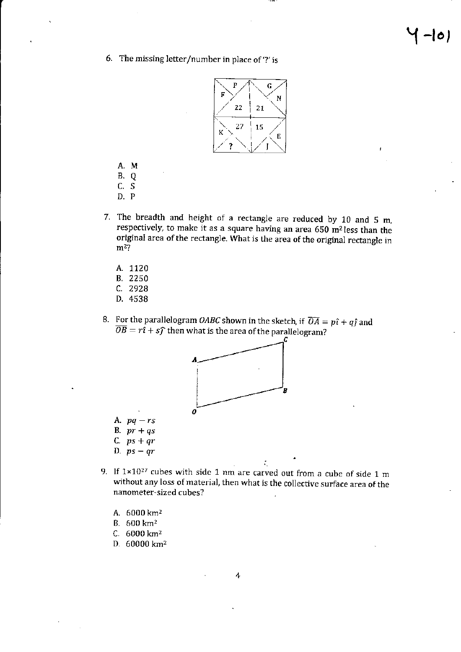6. The missing letter/number in place of  $\gamma$  is



- A.M
- B.Q
- c.s
- D.P
- 7. The breadth and height of a rectangle are reduced by 10 and S m, respectively, to make it as a square having an area 650 m2less than the original area of the rectangle. What is the area of the original rectangle in  $m<sup>2</sup>$ ?
	- A. 1120
	- B.2250
	- c. 292A
	- D.4538
- 8. For the parallelogram *OABC* shown in the sketch, if  $\overline{OA} = p\hat{\imath} + q\hat{\jmath}$  and  $\overline{OB} = r\hat{\imath} + s\hat{\jmath}$  then what is the area of the parallelogram?



- A.  $pq rs$
- B.  $pr+qs$
- C.  $ps + qr$
- D.  $ps-qr$
- 9. If  $1 \times 10^{27}$  cubes with side 1 nm are carved out from a cube of side 1 m without any loss of material, then what is the collective surface area of the nanometer-sized cubes?

i

- A. 6000 km<sup>2</sup>
- $B. 600 km<sup>2</sup>$
- $C.6000 \text{ km}^2$
- D. 60000 km<sup>2</sup>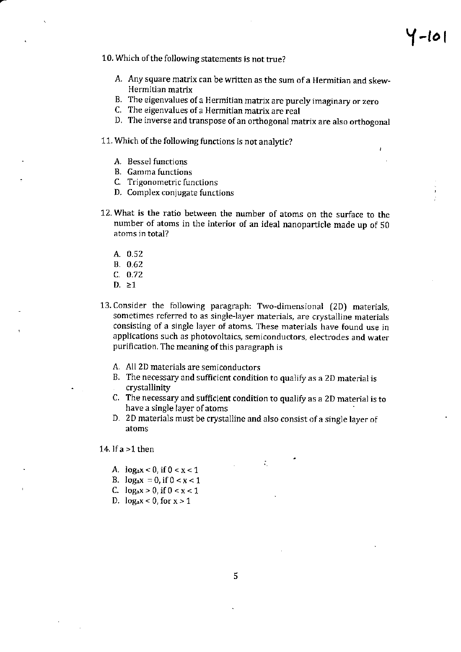10. Which of the following statements is not true?

- A. Any square matrix can be written as the sum of a Hermitian and skew-Hermitian matrix
- B. The eigenvalues of a Hermitian matrix are purely imaginary or zero
- C. The eigenvalues of a Hermitian matrix are real
- D. The inverse and transpose of an orthogonal matrix are also orthogonal

11. Which of the following functions is not analytic?

- A. Bessel functions
- B. Gamma functions
- C. Trigonometric functions
- D. Complex conjugate functions
- 12. What is the ratio between the number of atoms on the surface to the number of atoms in the intefior of an ideal nanoparticle made up of 50 atoms in total?
	- A.0.52
	- 8.0.62
	- c. o.72
	- D.  $\geq 1$
- 13. Consider the following paragraph: Two-dimensional (2D) materials, sometimes referred to as single-layer materials, are crystalline materials consisting of a single layer of atoms. These materials have found use in applications such as photovoltaics, semiconductors, electrodes and water purification. The meaning of this paragraph is
	- A. All 2D materials are semiconductors
	- B. The necessary and sufficient condition to qualify as a 2D material is crystallinity
	- C. The necessary and sufficient condition to qualify as a 2D material is to have a single layer of atoms
	- D. 2D materials must be crystalline and also consist of a single layer of atoms

14. If  $a > 1$  then

- A.  $log_a x < 0$ , if  $0 < x < 1$
- B.  $log_a x = 0$ , if  $0 < x < 1$
- C.  $\log_{a} x > 0$ , if  $0 < x < 1$
- D.  $\log_a x < 0$ , for  $x > 1$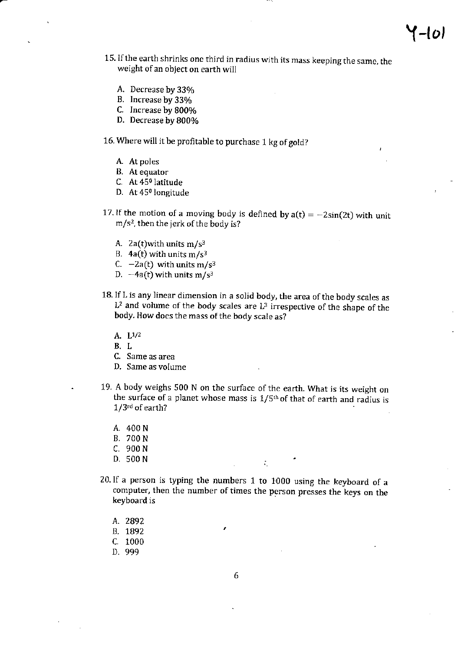- 15. If the earth shrinks one third in radius with its mass keeping the same, the weight of an object on earth will
	- A. Decrease by 33%
	- B. Increase by 33%
	- C. Increase by g00yo
	- D. Decrease by 800%

16. Where will it be profitable to purchase 1 kg of gold?

- A. At poles
- B. At equator
- C. At 450 latitude
- D. At 45<sup>0</sup> longitude
- 17. If the motion of a moving body is defined by  $a(t) = -2sin(2t)$  with unit  $m/s<sup>2</sup>$ , then the jerk of the body is?
	- A. 2a(t)with units  $m/s^3$
	- B.  $4a(t)$  with units m/s<sup>3</sup>
	- C.  $-2a(t)$  with units m/s<sup>3</sup>
	- D.  $-4a(t)$  with units m/s<sup>3</sup>
- 18. If L is any linear dimension in a solid body, the area of the body scales as  $L^2$  and volume of the body scales are  $L^3$  irrespective of the shape of the body. How does the mass of the body scale as?
	- A. L1/2
	- B,L
	- C. Same as area
	- D, Same as volume
- . 19. A body weighs 500 N on the surfacc of the earth. What is jts weight on the surface of a planet whose mass is  $1/5<sup>th</sup>$  of that of earth and radius is  $1/3$ <sup>rd</sup> of earth?
	- A. 400 <sup>N</sup>
	- B. 700 <sup>N</sup>
	- C. 900 N<br>D. 500 N
	- D. 500N r. .
- 20.1f a person is typing the numbers  $1$  to  $1000$  using the keyboard of a computer, then the number of times the person presses the keys on the keyboard is
	- A. 2892
	- B. 1892
	- c. <sup>1000</sup>
	- D. 999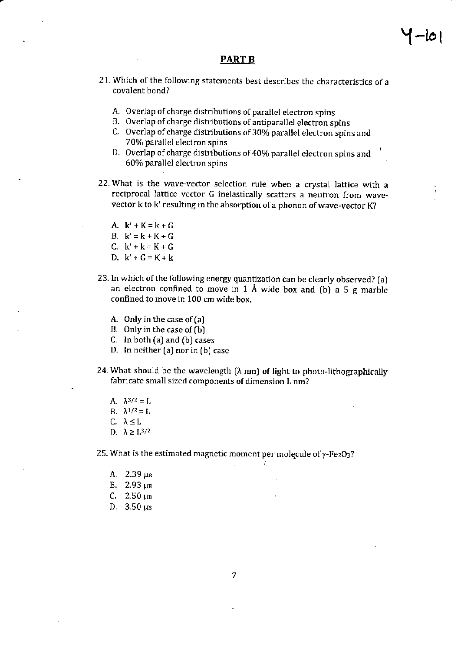#### PART B

- 21. Which of the following statements best describes the characteristics of <sup>a</sup> covalent bond?
	- A. Overlap of charge distributions of parallel electron spins
	- B. Overlap of charge distributions of antiparallel electron spins
	- C. Overlap of charge distributions of 30% parallel electron spins and 700/o parallel electron spins
	- D. Overlap of charge distributions of 40% parallel electron spins and 60% parallel electron spins
- 22. What is the wave-vector selection rule when a crystal lattice with a reciprocal lattice vector G inelastically scatters a neutron from wavevector k to k' resulting in the absorption of a phonon of wave-vector K?
	- A.  $k' + K = k + G$ B.  $k' = k + K + G$ C. k'+k=K+G D.  $k' + G = K + k$
- 23. In which of the following energy quantization can be clearly observed? [a) an electron confined to move in 1 Å wide box and (b) a 5 g marble confined to move in 100 cm wide box.
	- A. Only in the case of  $(a)$
	- B. Only in the case of (b)
	- C. In both  $(a)$  and  $(b)$  cases
	- D. In neither [a) nor in [b] case
- 24. What should be the wavelength  $(\lambda \text{ nm})$  of light to photo-lithographically fabricate small sized components of dimension L nm?

 $\mathcal{L}_\mathrm{c}$ 

- A.  $\lambda^{3/2} = L$
- B.  $\lambda^{1/2} = L$
- C.  $\lambda \leq L$
- D.  $\lambda \geq L^{3/2}$

25. What is the estimated magnetic moment per molecule of  $\gamma$ -Fe<sub>2</sub>O<sub>3</sub>?

- A.  $2.39 \mu B$
- B.  $2.93 \mu B$
- C.  $2.50 \mu B$
- D.  $3.50 \mu B$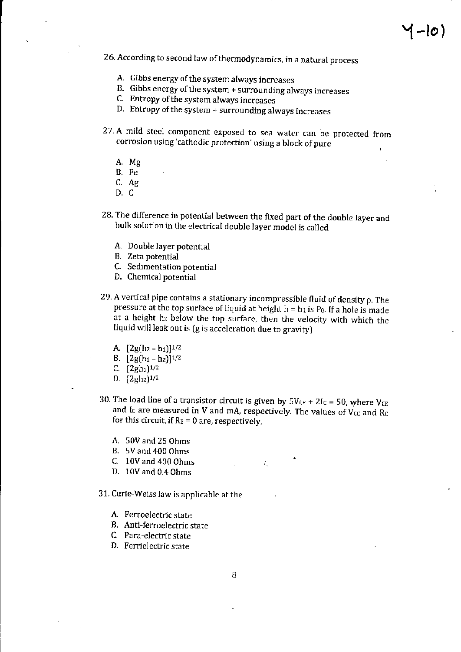- 26. According to second law of thermodynamics, in a natural process
	- A. Gibbs energy of the system always increases
	- B. Gibbs energy of the system + surrounding always increases
	- C. Entropy of the system always increases
	- D. Entropy of the system  $+$  surrounding always increases
- 27.A mild steel component exposed to sea water can be protected from corrosion using 'cathodic protection' using a block of pure
	- A. Mg
	- B. Fe
	- $C.$  Ag
	- D.C
- 28. The difference in potential between the fixed part of the double layer and bulk solution in the electrical double layer model is called
	- A. Double layer potential
	- B. Zeta potential
	- C. Sedimentation potential
	- D. Chemical potential
- 29. A vertical pipe contains a stationary incompressible fluid of density  $\rho$ . The pressure at the top surface of liquid at height  $h = h_1$  is  $P_0$ . If a hole is made at a height hz below the top surface, then the velocity with which the Iiquid will leak out is (g js accelerarion due to gravityJ
	- A.  $[2g(h_2 h_1)]^{1/2}$
	- B.  $[2g(h_1-h_2)]^{1/2}$
	- C.  $(2gh_1)^{1/2}$
	- D.  $(2gh_2)^{1/2}$
- 30. The load line of a transistor circuit is given by  $5V_{CE} + 2I_C = 50$ , where  $V_{CE}$ and Ic are measured in V and mA, respectively. The values of  $V_{CC}$  and  $R_C$ for this circuit, if  $R_E = 0$  are, respectively,
	- A. 50V and 25 Ohms
	- B. 5V and 400 ohms
	- C.  $10V$  and  $400$  Ohms  $\therefore$
	- D. 10V and 0.4 ohms
- 31. Curie-Weiss law is applicable at the
	- A. Fenoelectric state
	- B. Anti-ferroelectric state
	- C. Para-electric state
	- D. Ferrielectric state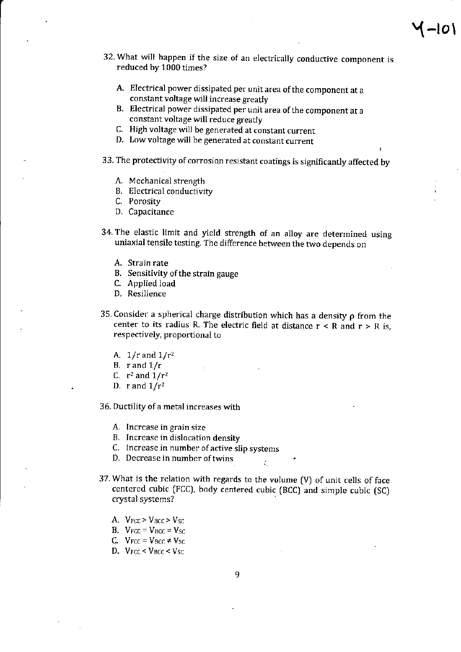- 32. What will happen if the size of an electrically conductive component is reduced by 1000 times?
	- A. Electrical power dissipated per unit area ofthe component at <sup>a</sup> constant voltage will increase greatly
	- B. Electrical power dissipated per unit area ofthe component at <sup>a</sup> constant voltage will reduce greatly
	- C. High voltage will be generated at constant current
	- D. Low voltage will be generated at constant current

33. The protectivity of corrosion resistant coatings is significantly affected by

- A. Mechanical strength
- B. Electrical conductivity
- C. Porosity
- D. Capacitance
- 34. The elastic limit and yield strength of an alloy are determined using uniaxial tensile testing. The difference between the two depends on
	- A. Strain rate
	- B. Sensitivity of the strain gauge
	- C. Applied load
	- D. Resilience
- 35. Consider a spherical charge distribution which has a density  $\rho$  from the center to its radius R. The electric field at distance  $r < R$  and  $r > R$  is, respectively, proportional to
	- A.  $1/r$  and  $1/r^2$
	- B. r and  $1/r$
	- C.  $r^2$  and  $1/r^2$
	- D. r and  $1/r^2$

36. Ductility of a metal increases with

- A. Increase in grain size
- B. Increase in dislocation density
- C- Increase in number of active slip systems
- D. Decrease in number of twins  $\frac{1}{10}$
- 37. What is the relation with regards to the volume [V) of unit cells of face centered cubic (FCC), body centered cubic (BCC) and simple cubic (SC) crystal systems?
	- A.  $V_{FCC} > V_{BCC} > V_{SC}$
	- B.  $V_{FCC} = V_{BCC} = V_{SC}$
	- C.  $V_{FCC} = V_{BCC} \neq V_{SC}$
	- D.  $V_{FCC}$  <  $V_{BCC}$  <  $V_{SC}$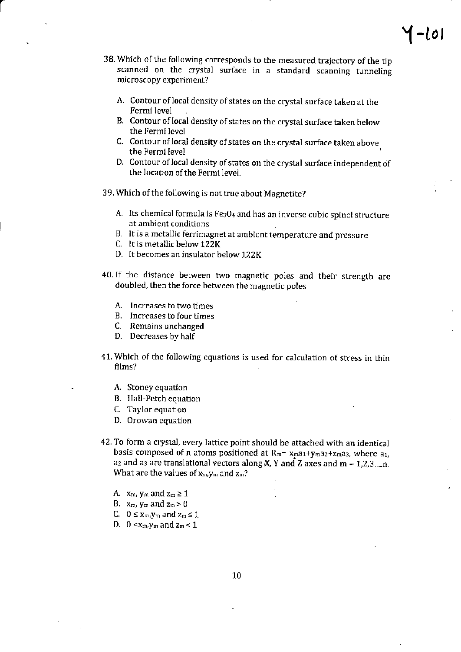- 38. Which of the following corresponds to the measured trajectory of the tip scanned on the crystal surface in a standard scanning tunneling microscopy experiment?
	- A. Contour of local density of states on the crystal surface taken at the Fermi level
	- B. Contour of local density of states on the crystal surface taken below the Fermi level
	- C. Contour of local density of states on the crystal surface taken above the Fermi level
	- D. Contour of local density of states on the crystal surface independent of the location of the Fermi level.
- 39. Which of the following is not true about Magnetite?
	- A. Its chemical formula is  $Fe<sub>3</sub>O<sub>4</sub>$  and has an inverse cubic spinel structure at ambient conditions
	- B. It is a metallic ferrimagnet at ambient temperature and pressure
	- C. It is metallic below 122K
	- D. It becomes an insulator below 122K
- 40.1f the distance between two magnetic poles and their strength are doubled, then the force between the magnetic poles
	- A. Increases to two times
	- B. Increases to four times
	- C. Remains unchanged
	- D. Decreases by half
- 41. Which of the following equations is used for calculation of stress in thin films?
	- A. Stoney equation
	- B. Hail-Pctch equation
	- C. 'Iaylor equation
	- D. Orowan equation
- 42. To form a crystal, every lattice point should be attached with an identical basis composed of n atoms positioned at  $R_m = x_{m}a_1+y_{m}a_2+z_{m}a_3$ , where  $a_1$ , a<sub>2</sub> and a<sub>3</sub> are translational vectors along **X**, **Y** and **Z** axes and **m** = 1,2,3....n. What are the values of  $x_m$ ,  $y_m$  and  $z_m$ ?
	- A.  $x_m$ ,  $y_m$  and  $z_m \geq 1$
	- B.  $x_m$ ,  $y_m$  and  $z_m > 0$
	- C.  $0 \le x_m$ ,  $y_m$  and  $z_m \le 1$
	- D.  $0 < x_m$ ,  $y_m$  and  $z_m < 1$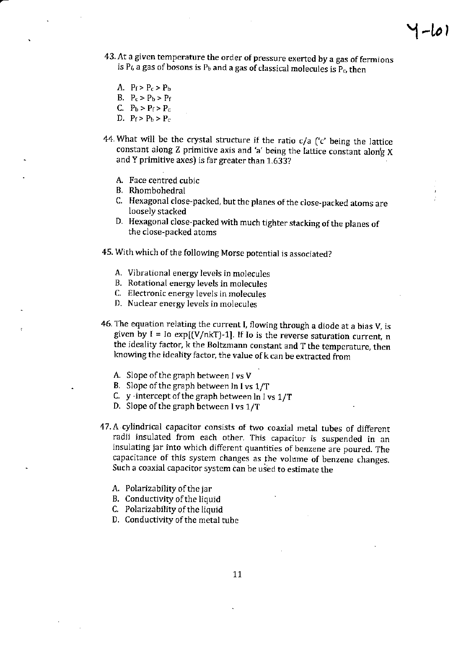- $I L$ o
- 43. At a given temperature the order of pressure exerted by a gas of fermions is  $P_6$  a gas of bosons is  $P_b$  and a gas of classical molecules is  $P_c$ , then
	- A.  $P_f > P_c > P_b$
	- B.  $P_c > P_b > P_f$
	- C.  $P_b > P_f > P_c$
	- D.  $P_f > P_b > P_c$
- 44. What will be the crystal structure if the ratio  $c/a$  ( $c'$  being the lattice constant along Z primitive axis and'a'being the lattice constant along <sup>X</sup> and Y primitive axes) is far greater than  $1.633$ ?
	- A. Face centred cubic
	- B. Rhombohedral
	- C. Hexagonal close-packed, but the planes of the close-packed atoms are loosely stacked
	- D. Hexagonal close-packed with much tighter stacking of the planes of the close-packed atoms
- 45. With which of the following Morse potential is associated?
	- A. Vibrational energy levels in molecules
	- B. Rotational energy levels in molecules
	- C. Electronic energy levels in molecules
	- D. Nuclear energy leyels in molecules
- 46. The equation relating the current I, flowing through a diode at a bias V, is given by  $I =$  Io exp[(V/nkT)-1]. If Io is the reverse saturation current, n the ideality factor, k the Boltzmann constant and T the temperature, then knowing the ideality factor, the value of k can be extracted from
	- A. Slope of the graph between I vs  $V$
	- B. Slope of the graph between ln I vs 1/T
	- C. y -intercept of the graph between  $ln I$  vs  $1/T$
	- D. Slope of the graph between I vs 1/T
- 47. A cylindrical capacitor consists of two coaxial metal tubes of different radii insulated from each other. This capacitor is suspended in an insulating jar into which different quantities of benzene are poured. The capacitance of this system changes as the volume of benzene changes. Such a coaxial capacitor system can be used to estimate the
	- A. Polarizability of the jar
	- B. Conductivity of the liquid
	- C. Polarizability of the liquid
	- D. Conductivity of the metal tube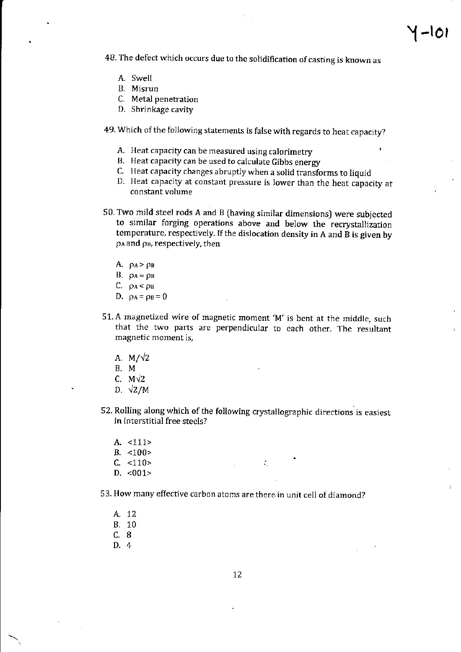48. The defect which occurs due to the solidification of casting is known as

1 –101

- A. Swell
- B. Misrun
- C. Metal penetration
- D. Shrinkage cavity
- 49. Which of the following statements is false with regards to heat capacity?
	- A. Heat capacity can be measured using calorimetry
	- B. Heat capacity can be used to calcuiate Gibbs energy
	- C. Heat capacity changes abruptly when a solid transforms to liquid
	- D. Heat capacity at constant pressure is lower than the heat capacity at constant volume
- 50. Two mild steel rods A and B (having similar dimensions] were subjected to similar forging operations above and below the recrystallization temperature, respectively. If the dislocation density in A and B is given by pa and p<sub>B</sub>, respectively, then
	- A.  $\rho_A > \rho_B$
	- B.  $\rho_A = \rho_B$
	- C.  $\rho_A < \rho_B$
	- D.  $\rho_A = \rho_B = 0$
- 51. A magnetized wire of magnetic moment 'M' is bent at the middle, such that the two parts are perpendicular to each other. The resultant magnetic moment is,
	- A.  $M/\sqrt{2}$
	- B,M
	- C.  $M\sqrt{2}$
	- D.  $\sqrt{2}/M$
- 52. Rolling along which of the following crystallographic directions is easiest in interstitial free steels?

Å.

- A. <111>
- B. <100>
- $C. < 110$
- $D. < 001$
- 53. How many effective carbon atoms are there in unit cell of diamond?
	- A. <sup>12</sup> B. 10 c.B D.4